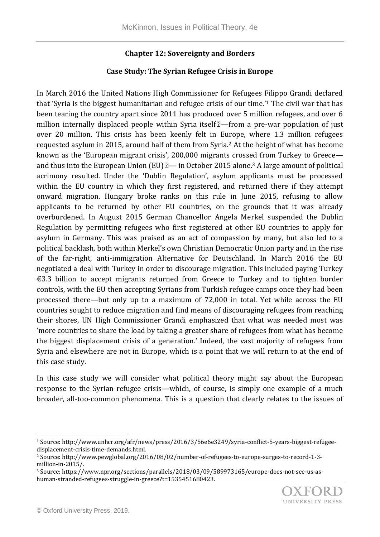## **Chapter 12: Sovereignty and Borders**

## **Case Study: The Syrian Refugee Crisis in Europe**

In March 2016 the United Nations High Commissioner for Refugees Filippo Grandi declared that 'Syria is the biggest humanitarian and refugee crisis of our time.'<sup>1</sup> The civil war that has been tearing the country apart since 2011 has produced over 5 million refugees, and over 6 million internally displaced people within Syria itself<sup>[2]</sup>—from a pre-war population of just over 20 million. This crisis has been keenly felt in Europe, where 1.3 million refugees requested asylum in 2015, around half of them from Syria.<sup>2</sup> At the height of what has become known as the 'European migrant crisis', 200,000 migrants crossed from Turkey to Greece and thus into the European Union (EU) $\mathbb{Z}$ — in October 2015 alone.<sup>3</sup> A large amount of political acrimony resulted. Under the 'Dublin Regulation', asylum applicants must be processed within the EU country in which they first registered, and returned there if they attempt onward migration. Hungary broke ranks on this rule in June 2015, refusing to allow applicants to be returned by other EU countries, on the grounds that it was already overburdened. In August 2015 German Chancellor Angela Merkel suspended the Dublin Regulation by permitting refugees who first registered at other EU countries to apply for asylum in Germany. This was praised as an act of compassion by many, but also led to a political backlash, both within Merkel's own Christian Democratic Union party and in the rise of the far-right, anti-immigration Alternative for Deutschland. In March 2016 the EU negotiated a deal with Turkey in order to discourage migration. This included paying Turkey €3.3 billion to accept migrants returned from Greece to Turkey and to tighten border controls, with the EU then accepting Syrians from Turkish refugee camps once they had been processed there—but only up to a maximum of 72,000 in total. Yet while across the EU countries sought to reduce migration and find means of discouraging refugees from reaching their shores, UN High Commissioner Grandi emphasized that what was needed most was 'more countries to share the load by taking a greater share of refugees from what has become the biggest displacement crisis of a generation.' Indeed, the vast majority of refugees from Syria and elsewhere are not in Europe, which is a point that we will return to at the end of this case study.

In this case study we will consider what political theory might say about the European response to the Syrian refugee crisis—which, of course, is simply one example of a much broader, all-too-common phenomena. This is a question that clearly relates to the issues of

l

<sup>1</sup> Source: http://www.unhcr.org/afr/news/press/2016/3/56e6e3249/syria-conflict-5-years-biggest-refugeedisplacement-crisis-time-demands.html.

<sup>2</sup> Source: http://www.pewglobal.org/2016/08/02/number-of-refugees-to-europe-surges-to-record-1-3 million-in-2015/.

<sup>3</sup> Source: https://www.npr.org/sections/parallels/2018/03/09/589973165/europe-does-not-see-us-ashuman-stranded-refugees-struggle-in-greece?t=1535451680423.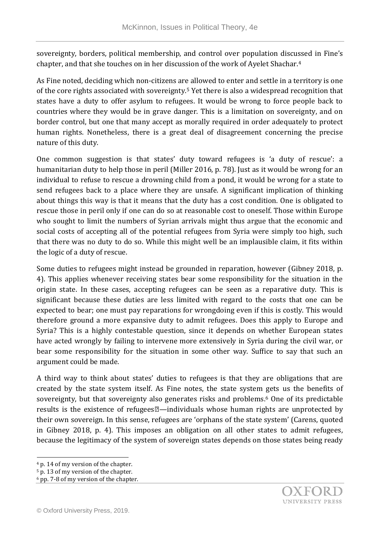sovereignty, borders, political membership, and control over population discussed in Fine's chapter, and that she touches on in her discussion of the work of Ayelet Shachar.<sup>4</sup>

As Fine noted, deciding which non-citizens are allowed to enter and settle in a territory is one of the core rights associated with sovereignty.<sup>5</sup> Yet there is also a widespread recognition that states have a duty to offer asylum to refugees. It would be wrong to force people back to countries where they would be in grave danger. This is a limitation on sovereignty, and on border control, but one that many accept as morally required in order adequately to protect human rights. Nonetheless, there is a great deal of disagreement concerning the precise nature of this duty.

One common suggestion is that states' duty toward refugees is 'a duty of rescue': a humanitarian duty to help those in peril (Miller 2016, p. 78). Just as it would be wrong for an individual to refuse to rescue a drowning child from a pond, it would be wrong for a state to send refugees back to a place where they are unsafe. A significant implication of thinking about things this way is that it means that the duty has a cost condition. One is obligated to rescue those in peril only if one can do so at reasonable cost to oneself. Those within Europe who sought to limit the numbers of Syrian arrivals might thus argue that the economic and social costs of accepting all of the potential refugees from Syria were simply too high, such that there was no duty to do so. While this might well be an implausible claim, it fits within the logic of a duty of rescue.

Some duties to refugees might instead be grounded in reparation, however (Gibney 2018, p. 4). This applies whenever receiving states bear some responsibility for the situation in the origin state. In these cases, accepting refugees can be seen as a reparative duty. This is significant because these duties are less limited with regard to the costs that one can be expected to bear; one must pay reparations for wrongdoing even if this is costly. This would therefore ground a more expansive duty to admit refugees. Does this apply to Europe and Syria? This is a highly contestable question, since it depends on whether European states have acted wrongly by failing to intervene more extensively in Syria during the civil war, or bear some responsibility for the situation in some other way. Suffice to say that such an argument could be made.

A third way to think about states' duties to refugees is that they are obligations that are created by the state system itself. As Fine notes, the state system gets us the benefits of sovereignty, but that sovereignty also generates risks and problems.<sup>6</sup> One of its predictable results is the existence of refugees $\mathbb{Z}$ —individuals whose human rights are unprotected by their own sovereign. In this sense, refugees are 'orphans of the state system' (Carens, quoted in Gibney 2018, p. 4). This imposes an obligation on all other states to admit refugees, because the legitimacy of the system of sovereign states depends on those states being ready

l <sup>4</sup> p. 14 of my version of the chapter.

<sup>5</sup> p. 13 of my version of the chapter.

<sup>6</sup> pp. 7-8 of my version of the chapter.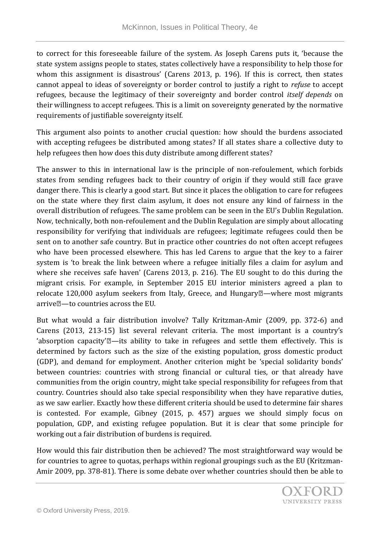to correct for this foreseeable failure of the system. As Joseph Carens puts it, 'because the state system assigns people to states, states collectively have a responsibility to help those for whom this assignment is disastrous' (Carens 2013, p. 196). If this is correct, then states cannot appeal to ideas of sovereignty or border control to justify a right to *refuse* to accept refugees, because the legitimacy of their sovereignty and border control *itself depends* on their willingness to accept refugees. This is a limit on sovereignty generated by the normative requirements of justifiable sovereignty itself.

This argument also points to another crucial question: how should the burdens associated with accepting refugees be distributed among states? If all states share a collective duty to help refugees then how does this duty distribute among different states?

The answer to this in international law is the principle of non-refoulement, which forbids states from sending refugees back to their country of origin if they would still face grave danger there. This is clearly a good start. But since it places the obligation to care for refugees on the state where they first claim asylum, it does not ensure any kind of fairness in the overall distribution of refugees. The same problem can be seen in the EU's Dublin Regulation. Now, technically, both non-refoulement and the Dublin Regulation are simply about allocating responsibility for verifying that individuals are refugees; legitimate refugees could then be sent on to another safe country. But in practice other countries do not often accept refugees who have been processed elsewhere. This has led Carens to argue that the key to a fairer system is 'to break the link between where a refugee initially files a claim for asylum and where she receives safe haven' (Carens 2013, p. 216). The EU sought to do this during the migrant crisis. For example, in September 2015 EU interior ministers agreed a plan to relocate  $120,000$  asylum seekers from Italy, Greece, and Hungary $\mathbb{Z}$ —where most migrants arrive—to countries across the EU.

But what would a fair distribution involve? Tally Kritzman-Amir (2009, pp. 372-6) and Carens (2013, 213-15) list several relevant criteria. The most important is a country's 'absorption capacity' $\mathbb{Z}$ —its ability to take in refugees and settle them effectively. This is determined by factors such as the size of the existing population, gross domestic product (GDP), and demand for employment. Another criterion might be 'special solidarity bonds' between countries: countries with strong financial or cultural ties, or that already have communities from the origin country, might take special responsibility for refugees from that country. Countries should also take special responsibility when they have reparative duties, as we saw earlier. Exactly how these different criteria should be used to determine fair shares is contested. For example, Gibney (2015, p. 457) argues we should simply focus on population, GDP, and existing refugee population. But it is clear that some principle for working out a fair distribution of burdens is required.

How would this fair distribution then be achieved? The most straightforward way would be for countries to agree to quotas, perhaps within regional groupings such as the EU (Kritzman-Amir 2009, pp. 378-81). There is some debate over whether countries should then be able to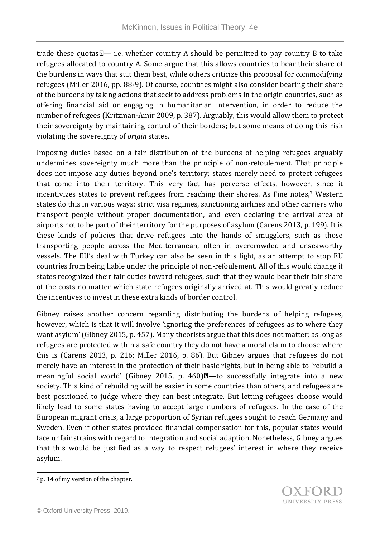trade these quotas  $\mathbb{Z}$ — i.e. whether country A should be permitted to pay country B to take refugees allocated to country A. Some argue that this allows countries to bear their share of the burdens in ways that suit them best, while others criticize this proposal for commodifying refugees (Miller 2016, pp. 88-9). Of course, countries might also consider bearing their share of the burdens by taking actions that seek to address problems in the origin countries, such as offering financial aid or engaging in humanitarian intervention, in order to reduce the number of refugees (Kritzman-Amir 2009, p. 387). Arguably, this would allow them to protect their sovereignty by maintaining control of their borders; but some means of doing this risk violating the sovereignty of *origin* states.

Imposing duties based on a fair distribution of the burdens of helping refugees arguably undermines sovereignty much more than the principle of non-refoulement. That principle does not impose any duties beyond one's territory; states merely need to protect refugees that come into their territory. This very fact has perverse effects, however, since it incentivizes states to prevent refugees from reaching their shores. As Fine notes,<sup>7</sup> Western states do this in various ways: strict visa regimes, sanctioning airlines and other carriers who transport people without proper documentation, and even declaring the arrival area of airports not to be part of their territory for the purposes of asylum (Carens 2013, p. 199). It is these kinds of policies that drive refugees into the hands of smugglers, such as those transporting people across the Mediterranean, often in overcrowded and unseaworthy vessels. The EU's deal with Turkey can also be seen in this light, as an attempt to stop EU countries from being liable under the principle of non-refoulement. All of this would change if states recognized their fair duties toward refugees, such that they would bear their fair share of the costs no matter which state refugees originally arrived at. This would greatly reduce the incentives to invest in these extra kinds of border control.

Gibney raises another concern regarding distributing the burdens of helping refugees, however, which is that it will involve 'ignoring the preferences of refugees as to where they want asylum' (Gibney 2015, p. 457). Many theorists argue that this does not matter; as long as refugees are protected within a safe country they do not have a moral claim to choose where this is (Carens 2013, p. 216; Miller 2016, p. 86). But Gibney argues that refugees do not merely have an interest in the protection of their basic rights, but in being able to 'rebuild a meaningful social world' (Gibney 2015, p. 460) $\mathbb{Z}$ —to successfully integrate into a new society. This kind of rebuilding will be easier in some countries than others, and refugees are best positioned to judge where they can best integrate. But letting refugees choose would likely lead to some states having to accept large numbers of refugees. In the case of the European migrant crisis, a large proportion of Syrian refugees sought to reach Germany and Sweden. Even if other states provided financial compensation for this, popular states would face unfair strains with regard to integration and social adaption. Nonetheless, Gibney argues that this would be justified as a way to respect refugees' interest in where they receive asylum.

l

<sup>7</sup> p. 14 of my version of the chapter.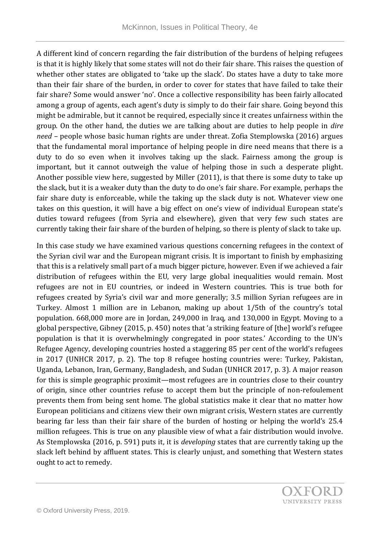A different kind of concern regarding the fair distribution of the burdens of helping refugees is that it is highly likely that some states will not do their fair share. This raises the question of whether other states are obligated to 'take up the slack'. Do states have a duty to take more than their fair share of the burden, in order to cover for states that have failed to take their fair share? Some would answer 'no'. Once a collective responsibility has been fairly allocated among a group of agents, each agent's duty is simply to do their fair share. Going beyond this might be admirable, but it cannot be required, especially since it creates unfairness within the group. On the other hand, the duties we are talking about are duties to help people in *dire need* – people whose basic human rights are under threat. Zofia Stemplowska (2016) argues that the fundamental moral importance of helping people in dire need means that there is a duty to do so even when it involves taking up the slack. Fairness among the group is important, but it cannot outweigh the value of helping those in such a desperate plight. Another possible view here, suggested by Miller (2011), is that there is some duty to take up the slack, but it is a weaker duty than the duty to do one's fair share. For example, perhaps the fair share duty is enforceable, while the taking up the slack duty is not. Whatever view one takes on this question, it will have a big effect on one's view of individual European state's duties toward refugees (from Syria and elsewhere), given that very few such states are currently taking their fair share of the burden of helping, so there is plenty of slack to take up.

In this case study we have examined various questions concerning refugees in the context of the Syrian civil war and the European migrant crisis. It is important to finish by emphasizing that this is a relatively small part of a much bigger picture, however. Even if we achieved a fair distribution of refugees within the EU, very large global inequalities would remain. Most refugees are not in EU countries, or indeed in Western countries. This is true both for refugees created by Syria's civil war and more generally; 3.5 million Syrian refugees are in Turkey. Almost 1 million are in Lebanon, making up about 1/5th of the country's total population. 668,000 more are in Jordan, 249,000 in Iraq, and 130,000 in Egypt. Moving to a global perspective, Gibney (2015, p. 450) notes that 'a striking feature of [the] world's refugee population is that it is overwhelmingly congregated in poor states.' According to the UN's Refugee Agency, developing countries hosted a staggering 85 per cent of the world's refugees in 2017 (UNHCR 2017, p. 2). The top 8 refugee hosting countries were: Turkey, Pakistan, Uganda, Lebanon, Iran, Germany, Bangladesh, and Sudan (UNHCR 2017, p. 3). A major reason for this is simple geographic proximit—most refugees are in countries close to their country of origin, since other countries refuse to accept them but the principle of non-refoulement prevents them from being sent home. The global statistics make it clear that no matter how European politicians and citizens view their own migrant crisis, Western states are currently bearing far less than their fair share of the burden of hosting or helping the world's 25.4 million refugees. This is true on any plausible view of what a fair distribution would involve. As Stemplowska (2016, p. 591) puts it, it is *developing* states that are currently taking up the slack left behind by affluent states. This is clearly unjust, and something that Western states ought to act to remedy.